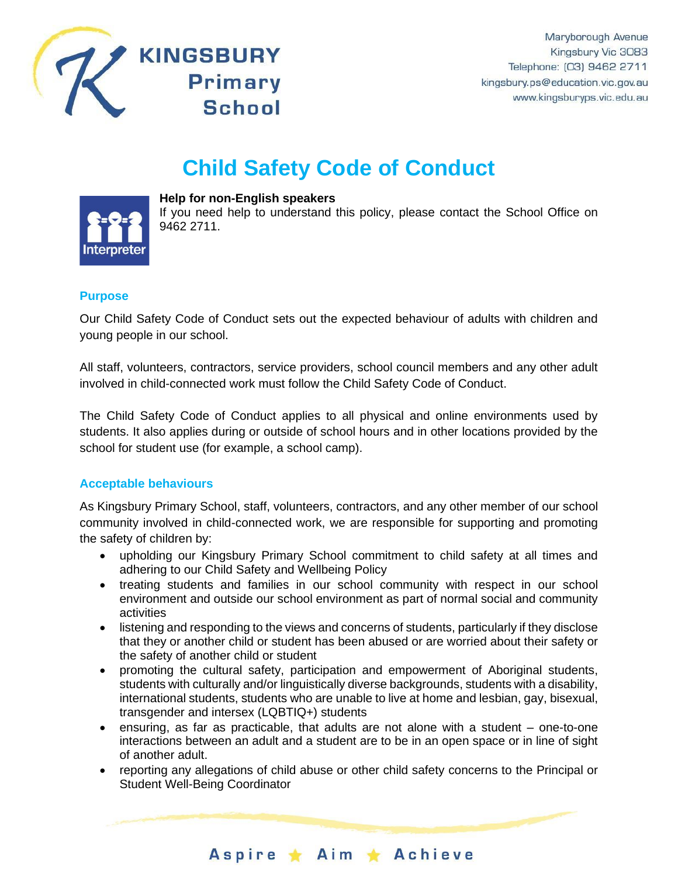

# **Child Safety Code of Conduct**



**Help for non-English speakers**

If you need help to understand this policy, please contact the School Office on 9462 2711.

## **Purpose**

Our Child Safety Code of Conduct sets out the expected behaviour of adults with children and young people in our school.

All staff, volunteers, contractors, service providers, school council members and any other adult involved in child-connected work must follow the Child Safety Code of Conduct.

The Child Safety Code of Conduct applies to all physical and online environments used by students. It also applies during or outside of school hours and in other locations provided by the school for student use (for example, a school camp).

## **Acceptable behaviours**

As Kingsbury Primary School, staff, volunteers, contractors, and any other member of our school community involved in child-connected work, we are responsible for supporting and promoting the safety of children by:

- upholding our Kingsbury Primary School commitment to child safety at all times and adhering to our Child Safety and Wellbeing Policy
- treating students and families in our school community with respect in our school environment and outside our school environment as part of normal social and community activities
- listening and responding to the views and concerns of students, particularly if they disclose that they or another child or student has been abused or are worried about their safety or the safety of another child or student
- promoting the cultural safety, participation and empowerment of Aboriginal students, students with culturally and/or linguistically diverse backgrounds, students with a disability, international students, students who are unable to live at home and lesbian, gay, bisexual, transgender and intersex (LQBTIQ+) students
- ensuring, as far as practicable, that adults are not alone with a student one-to-one interactions between an adult and a student are to be in an open space or in line of sight of another adult.
- reporting any allegations of child abuse or other child safety concerns to the Principal or Student Well-Being Coordinator

Aspire \* Aim \* Achieve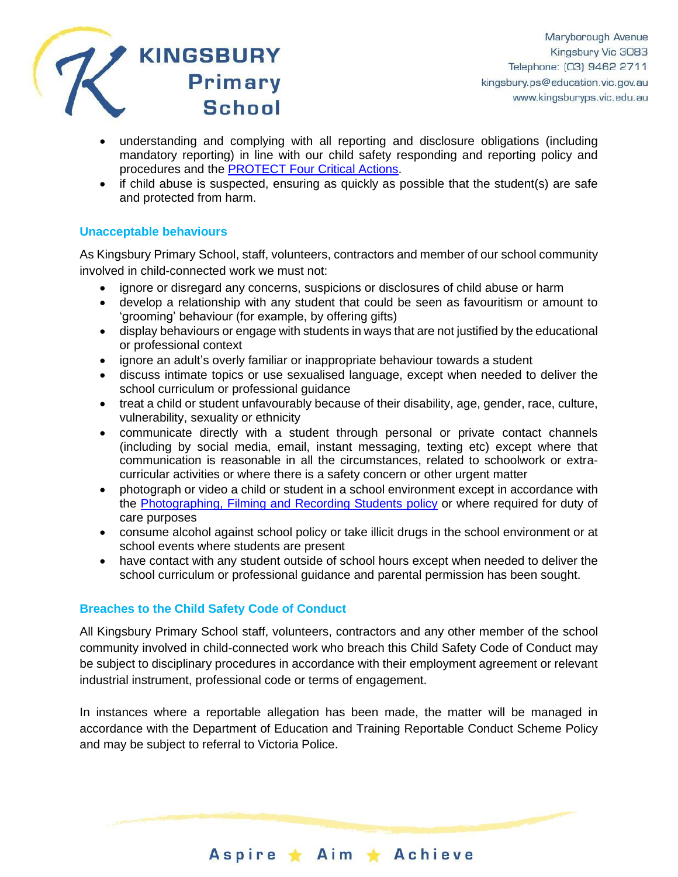

- understanding and complying with all reporting and disclosure obligations (including mandatory reporting) in line with our child safety responding and reporting policy and procedures and the [PROTECT Four Critical Actions.](https://www.education.vic.gov.au/Documents/about/programs/health/protect/FourCriticalActions_ChildAbuse.pdf)
- if child abuse is suspected, ensuring as quickly as possible that the student(s) are safe and protected from harm.

### **Unacceptable behaviours**

As Kingsbury Primary School, staff, volunteers, contractors and member of our school community involved in child-connected work we must not:

- ignore or disregard any concerns, suspicions or disclosures of child abuse or harm
- develop a relationship with any student that could be seen as favouritism or amount to 'grooming' behaviour (for example, by offering gifts)
- display behaviours or engage with students in ways that are not justified by the educational or professional context
- ignore an adult's overly familiar or inappropriate behaviour towards a student
- discuss intimate topics or use sexualised language, except when needed to deliver the school curriculum or professional guidance
- treat a child or student unfavourably because of their disability, age, gender, race, culture, vulnerability, sexuality or ethnicity
- communicate directly with a student through personal or private contact channels (including by social media, email, instant messaging, texting etc) except where that communication is reasonable in all the circumstances, related to schoolwork or extracurricular activities or where there is a safety concern or other urgent matter
- photograph or video a child or student in a school environment except in accordance with the [Photographing, Filming and Recording Students policy](https://www2.education.vic.gov.au/pal/photographing-students/policy) or where required for duty of care purposes
- consume alcohol against school policy or take illicit drugs in the school environment or at school events where students are present
- have contact with any student outside of school hours except when needed to deliver the school curriculum or professional guidance and parental permission has been sought.

## **Breaches to the Child Safety Code of Conduct**

All Kingsbury Primary School staff, volunteers, contractors and any other member of the school community involved in child-connected work who breach this Child Safety Code of Conduct may be subject to disciplinary procedures in accordance with their employment agreement or relevant industrial instrument, professional code or terms of engagement.

In instances where a reportable allegation has been made, the matter will be managed in accordance with the Department of Education and Training Reportable Conduct Scheme Policy and may be subject to referral to Victoria Police.

Aspire ★ Aim ★ Achieve